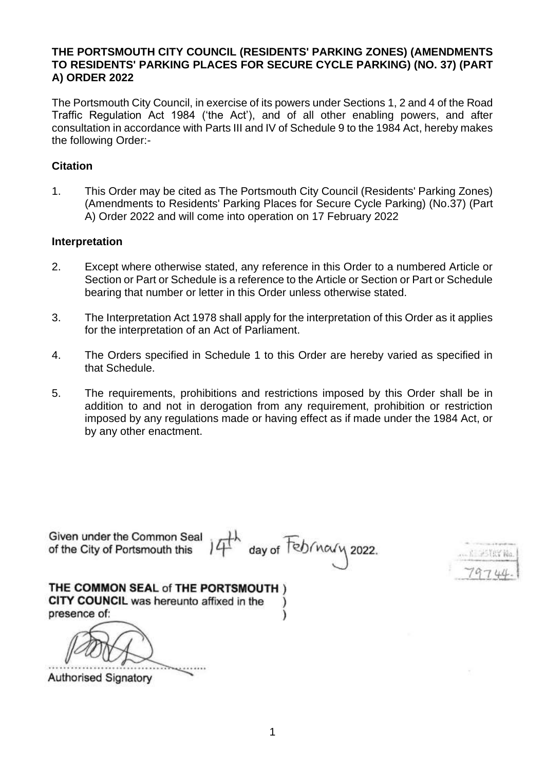## **THE PORTSMOUTH CITY COUNCIL (RESIDENTS' PARKING ZONES) (AMENDMENTS TO RESIDENTS' PARKING PLACES FOR SECURE CYCLE PARKING) (NO. 37) (PART A) ORDER 2022**

The Portsmouth City Council, in exercise of its powers under Sections 1, 2 and 4 of the Road Traffic Regulation Act 1984 ('the Act'), and of all other enabling powers, and after consultation in accordance with Parts III and IV of Schedule 9 to the 1984 Act, hereby makes the following Order:-

## **Citation**

1. This Order may be cited as The Portsmouth City Council (Residents' Parking Zones) (Amendments to Residents' Parking Places for Secure Cycle Parking) (No.37) (Part A) Order 2022 and will come into operation on 17 February 2022

#### **Interpretation**

- 2. Except where otherwise stated, any reference in this Order to a numbered Article or Section or Part or Schedule is a reference to the Article or Section or Part or Schedule bearing that number or letter in this Order unless otherwise stated.
- 3. The Interpretation Act 1978 shall apply for the interpretation of this Order as it applies for the interpretation of an Act of Parliament.
- 4. The Orders specified in Schedule 1 to this Order are hereby varied as specified in that Schedule.
- 5. The requirements, prohibitions and restrictions imposed by this Order shall be in addition to and not in derogation from any requirement, prohibition or restriction imposed by any regulations made or having effect as if made under the 1984 Act, or by any other enactment.

Given under the Common Seal th day of February 2022. of the City of Portsmouth this 実施で認証 THE COMMON SEAL of THE PORTSMOUTH ) CITY COUNCIL was hereunto affixed in the presence of:

**Authorised Signatory**